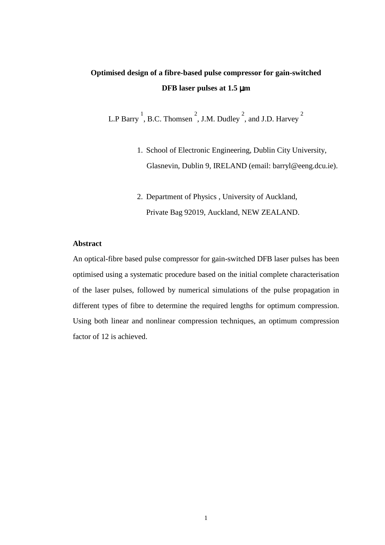# **Optimised design of a fibre-based pulse compressor for gain-switched DFB laser pulses at 1.5** µ**m**

L.P Barry<sup>1</sup>, B.C. Thomsen<sup>2</sup>, J.M. Dudley<sup>2</sup>, and J.D. Harvey<sup>2</sup>

- 1. School of Electronic Engineering, Dublin City University, Glasnevin, Dublin 9, IRELAND (email: barryl@eeng.dcu.ie).
- 2. Department of Physics , University of Auckland, Private Bag 92019, Auckland, NEW ZEALAND.

### **Abstract**

An optical-fibre based pulse compressor for gain-switched DFB laser pulses has been optimised using a systematic procedure based on the initial complete characterisation of the laser pulses, followed by numerical simulations of the pulse propagation in different types of fibre to determine the required lengths for optimum compression. Using both linear and nonlinear compression techniques, an optimum compression factor of 12 is achieved.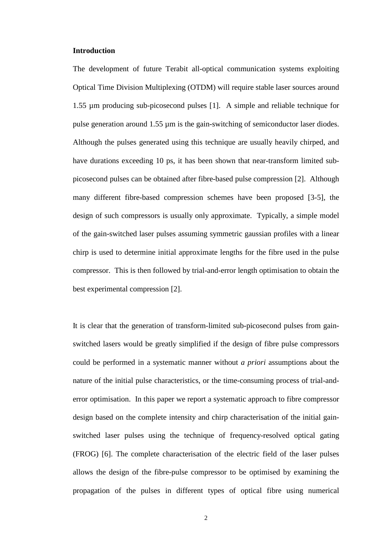#### **Introduction**

The development of future Terabit all-optical communication systems exploiting Optical Time Division Multiplexing (OTDM) will require stable laser sources around 1.55 µm producing sub-picosecond pulses [1]. A simple and reliable technique for pulse generation around 1.55 µm is the gain-switching of semiconductor laser diodes. Although the pulses generated using this technique are usually heavily chirped, and have durations exceeding 10 ps, it has been shown that near-transform limited subpicosecond pulses can be obtained after fibre-based pulse compression [2]. Although many different fibre-based compression schemes have been proposed [3-5], the design of such compressors is usually only approximate. Typically, a simple model of the gain-switched laser pulses assuming symmetric gaussian profiles with a linear chirp is used to determine initial approximate lengths for the fibre used in the pulse compressor. This is then followed by trial-and-error length optimisation to obtain the best experimental compression [2].

It is clear that the generation of transform-limited sub-picosecond pulses from gainswitched lasers would be greatly simplified if the design of fibre pulse compressors could be performed in a systematic manner without *a priori* assumptions about the nature of the initial pulse characteristics, or the time-consuming process of trial-anderror optimisation. In this paper we report a systematic approach to fibre compressor design based on the complete intensity and chirp characterisation of the initial gainswitched laser pulses using the technique of frequency-resolved optical gating (FROG) [6]. The complete characterisation of the electric field of the laser pulses allows the design of the fibre-pulse compressor to be optimised by examining the propagation of the pulses in different types of optical fibre using numerical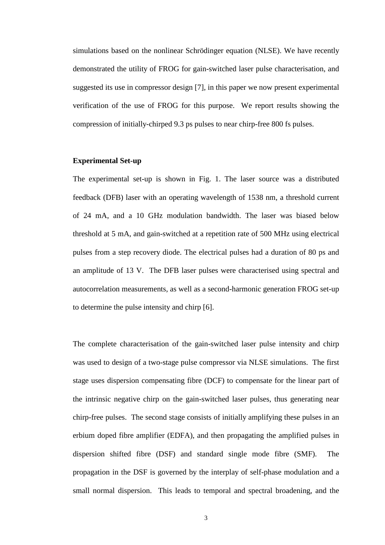simulations based on the nonlinear Schrödinger equation (NLSE). We have recently demonstrated the utility of FROG for gain-switched laser pulse characterisation, and suggested its use in compressor design [7], in this paper we now present experimental verification of the use of FROG for this purpose. We report results showing the compression of initially-chirped 9.3 ps pulses to near chirp-free 800 fs pulses.

### **Experimental Set-up**

The experimental set-up is shown in Fig. 1. The laser source was a distributed feedback (DFB) laser with an operating wavelength of 1538 nm, a threshold current of 24 mA, and a 10 GHz modulation bandwidth. The laser was biased below threshold at 5 mA, and gain-switched at a repetition rate of 500 MHz using electrical pulses from a step recovery diode. The electrical pulses had a duration of 80 ps and an amplitude of 13 V. The DFB laser pulses were characterised using spectral and autocorrelation measurements, as well as a second-harmonic generation FROG set-up to determine the pulse intensity and chirp [6].

The complete characterisation of the gain-switched laser pulse intensity and chirp was used to design of a two-stage pulse compressor via NLSE simulations.The first stage uses dispersion compensating fibre (DCF) to compensate for the linear part of the intrinsic negative chirp on the gain-switched laser pulses, thus generating near chirp-free pulses. The second stage consists of initially amplifying these pulses in an erbium doped fibre amplifier (EDFA), and then propagating the amplified pulses in dispersion shifted fibre (DSF) and standard single mode fibre (SMF). The propagation in the DSF is governed by the interplay of self-phase modulation and a small normal dispersion. This leads to temporal and spectral broadening, and the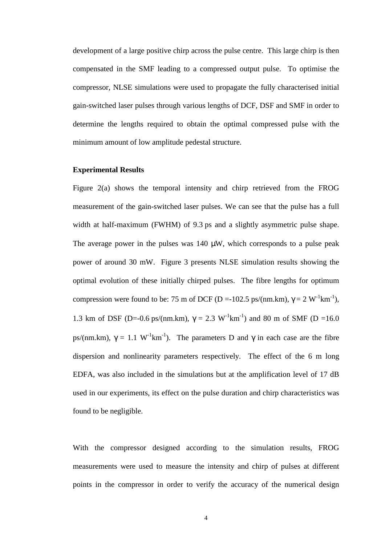development of a large positive chirp across the pulse centre. This large chirp is then compensated in the SMF leading to a compressed output pulse. To optimise the compressor, NLSE simulations were used to propagate the fully characterised initial gain-switched laser pulses through various lengths of DCF, DSF and SMF in order to determine the lengths required to obtain the optimal compressed pulse with the minimum amount of low amplitude pedestal structure.

# **Experimental Results**

Figure 2(a) shows the temporal intensity and chirp retrieved from the FROG measurement of the gain-switched laser pulses. We can see that the pulse has a full width at half-maximum (FWHM) of 9.3 ps and a slightly asymmetric pulse shape. The average power in the pulses was  $140 \mu W$ , which corresponds to a pulse peak power of around 30 mW. Figure 3 presents NLSE simulation results showing the optimal evolution of these initially chirped pulses. The fibre lengths for optimum compression were found to be: 75 m of DCF (D =-102.5 ps/(nm.km),  $\gamma = 2 \text{ W}^{-1} \text{km}^{-1}$ ), 1.3 km of DSF (D=-0.6 ps/(nm.km),  $\gamma = 2.3 \text{ W}^{-1} \text{km}^{-1}$ ) and 80 m of SMF (D =16.0) ps/(nm.km),  $\gamma = 1.1 \text{ W}^{-1} \text{km}^{-1}$ ). The parameters D and  $\gamma$  in each case are the fibre dispersion and nonlinearity parameters respectively. The effect of the 6 m long EDFA, was also included in the simulations but at the amplification level of 17 dB used in our experiments, its effect on the pulse duration and chirp characteristics was found to be negligible.

With the compressor designed according to the simulation results, FROG measurements were used to measure the intensity and chirp of pulses at different points in the compressor in order to verify the accuracy of the numerical design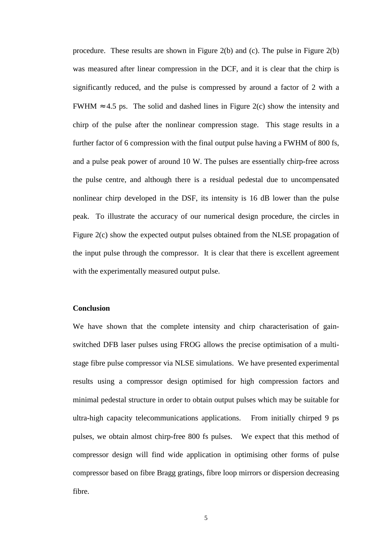procedure. These results are shown in Figure 2(b) and (c). The pulse in Figure 2(b) was measured after linear compression in the DCF, and it is clear that the chirp is significantly reduced, and the pulse is compressed by around a factor of 2 with a FWHM ≈ 4.5 ps. The solid and dashed lines in Figure 2(c) show the intensity and chirp of the pulse after the nonlinear compression stage. This stage results in a further factor of 6 compression with the final output pulse having a FWHM of 800 fs, and a pulse peak power of around 10 W. The pulses are essentially chirp-free across the pulse centre, and although there is a residual pedestal due to uncompensated nonlinear chirp developed in the DSF, its intensity is 16 dB lower than the pulse peak. To illustrate the accuracy of our numerical design procedure, the circles in Figure 2(c) show the expected output pulses obtained from the NLSE propagation of the input pulse through the compressor. It is clear that there is excellent agreement with the experimentally measured output pulse.

# **Conclusion**

We have shown that the complete intensity and chirp characterisation of gainswitched DFB laser pulses using FROG allows the precise optimisation of a multistage fibre pulse compressor via NLSE simulations. We have presented experimental results using a compressor design optimised for high compression factors and minimal pedestal structure in order to obtain output pulses which may be suitable for ultra-high capacity telecommunications applications. From initially chirped 9 ps pulses, we obtain almost chirp-free 800 fs pulses. We expect that this method of compressor design will find wide application in optimising other forms of pulse compressor based on fibre Bragg gratings, fibre loop mirrors or dispersion decreasing fibre.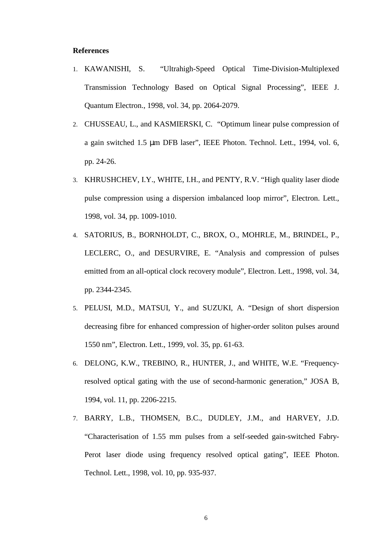#### **References**

- 1. KAWANISHI, S. "Ultrahigh-Speed Optical Time-Division-Multiplexed Transmission Technology Based on Optical Signal Processing", IEEE J. Quantum Electron., 1998, vol. 34, pp. 2064-2079.
- 2. CHUSSEAU, L., and KASMIERSKI, C. "Optimum linear pulse compression of a gain switched 1.5 µm DFB laser", IEEE Photon. Technol. Lett., 1994, vol. 6, pp. 24-26.
- 3. KHRUSHCHEV, I.Y., WHITE, I.H., and PENTY, R.V. "High quality laser diode pulse compression using a dispersion imbalanced loop mirror", Electron. Lett., 1998, vol. 34, pp. 1009-1010.
- 4. SATORIUS, B., BORNHOLDT, C., BROX, O., MOHRLE, M., BRINDEL, P., LECLERC, O., and DESURVIRE, E. "Analysis and compression of pulses emitted from an all-optical clock recovery module", Electron. Lett., 1998, vol. 34, pp. 2344-2345.
- 5. PELUSI, M.D., MATSUI, Y., and SUZUKI, A. "Design of short dispersion decreasing fibre for enhanced compression of higher-order soliton pulses around 1550 nm", Electron. Lett., 1999, vol. 35, pp. 61-63.
- 6. DELONG, K.W., TREBINO, R., HUNTER, J., and WHITE, W.E. "Frequencyresolved optical gating with the use of second-harmonic generation," JOSA B, 1994, vol. 11, pp. 2206-2215.
- 7. BARRY, L.B., THOMSEN, B.C., DUDLEY, J.M., and HARVEY, J.D. "Characterisation of 1.55 mm pulses from a self-seeded gain-switched Fabry-Perot laser diode using frequency resolved optical gating", IEEE Photon. Technol. Lett., 1998, vol. 10, pp. 935-937.